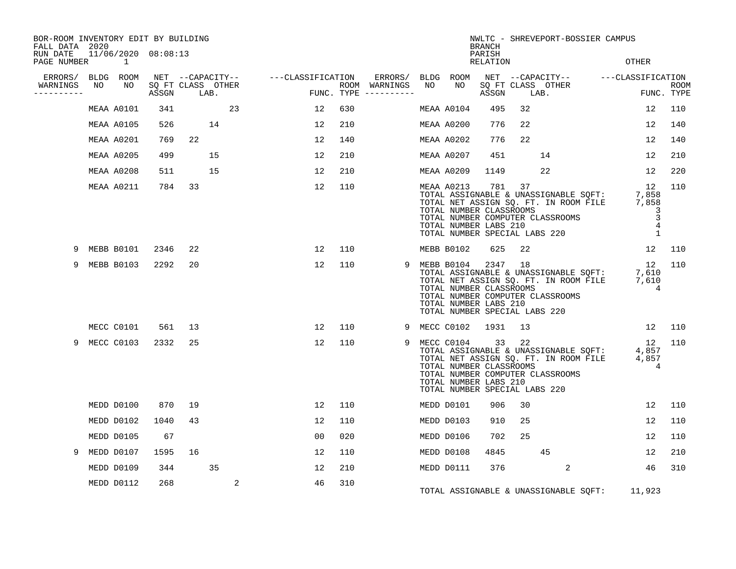| BOR-ROOM INVENTORY EDIT BY BUILDING<br>FALL DATA 2020 |    |                                 |       |      |                   |                                                                |     |                                      | NWLTC - SHREVEPORT-BOSSIER CAMPUS<br><b>BRANCH</b> |                                                                                                       |                    |    |                                                                                                                                                                               |                                                  |                           |
|-------------------------------------------------------|----|---------------------------------|-------|------|-------------------|----------------------------------------------------------------|-----|--------------------------------------|----------------------------------------------------|-------------------------------------------------------------------------------------------------------|--------------------|----|-------------------------------------------------------------------------------------------------------------------------------------------------------------------------------|--------------------------------------------------|---------------------------|
| RUN DATE<br>PAGE NUMBER                               |    | 11/06/2020 08:08:13<br>$\sim$ 1 |       |      |                   |                                                                |     |                                      |                                                    |                                                                                                       | PARISH<br>RELATION |    |                                                                                                                                                                               | OTHER                                            |                           |
| ERRORS/ BLDG ROOM                                     |    |                                 |       |      |                   | NET --CAPACITY-- ----CLASSIFICATION ERRORS/ BLDG ROOM          |     |                                      |                                                    |                                                                                                       |                    |    | NET --CAPACITY-- - ---CLASSIFICATION                                                                                                                                          |                                                  |                           |
| WARNINGS<br>----------                                | NO | NO                              | ASSGN | LAB. | SQ FT CLASS OTHER | a de la construcción de la construcción.<br>En la construcción |     | ROOM WARNINGS<br>FUNC. TYPE $------$ | NO                                                 | NO                                                                                                    | ASSGN              |    | SQ FT CLASS OTHER<br>LAB.                                                                                                                                                     |                                                  | <b>ROOM</b><br>FUNC. TYPE |
|                                                       |    | MEAA A0101                      | 341   |      | 23                | 12                                                             | 630 |                                      |                                                    | MEAA A0104                                                                                            | 495                | 32 |                                                                                                                                                                               | 12                                               | 110                       |
|                                                       |    | MEAA A0105                      | 526   |      | 14                | 12                                                             | 210 |                                      |                                                    | MEAA A0200                                                                                            | 776                | 22 |                                                                                                                                                                               | 12                                               | 140                       |
|                                                       |    | MEAA A0201                      | 769   | 22   |                   | 12                                                             | 140 |                                      |                                                    | MEAA A0202                                                                                            | 776                | 22 |                                                                                                                                                                               | 12                                               | 140                       |
|                                                       |    | MEAA A0205                      | 499   |      | 15                | 12                                                             | 210 |                                      |                                                    | MEAA A0207                                                                                            | 451                |    | 14                                                                                                                                                                            | 12                                               | 210                       |
|                                                       |    | MEAA A0208                      | 511   |      | 15                | 12                                                             | 210 |                                      |                                                    | MEAA A0209                                                                                            | 1149               |    | 22                                                                                                                                                                            | 12                                               | 220                       |
|                                                       |    | MEAA A0211                      | 784   | 33   |                   | 12                                                             | 110 |                                      |                                                    | MEAA A0213<br>TOTAL NUMBER CLASSROOMS<br>TOTAL NUMBER LABS 210                                        | 781 37             |    | 12 12<br>TOTAL ASSIGNABLE & UNASSIGNABLE SQFT: 7,858<br>TOTAL NET ASSIGN SQ. FT. IN ROOM FILE 7,858<br>TOTAL NUMBER COMPUTER CLASSROOMS<br>TOTAL NUMBER SPECIAL LABS 220      | 12<br>3<br>3<br>$\overline{4}$<br>$\overline{1}$ | 110                       |
| 9                                                     |    | MEBB B0101                      | 2346  | 22   |                   | 12                                                             | 110 |                                      |                                                    | MEBB B0102                                                                                            | 625                | 22 |                                                                                                                                                                               |                                                  | 12 110                    |
| 9                                                     |    | MEBB B0103                      | 2292  | 20   |                   | 12                                                             | 110 |                                      |                                                    | 9 MEBB B0104<br>TOTAL NUMBER CLASSROOMS<br>TOTAL NUMBER LABS 210<br>TOTAL NUMBER SPECIAL LABS 220     | 2347 18            |    | TOTAL ASSIGNABLE & UNASSIGNABLE SQFT: 7,610<br>TOTAL NET ASSIGN SQ. FT. IN ROOM FILE 7,610<br>TOTAL NEW ASSIGN SQ. FT. IN ROOM FILE 7,610<br>TOTAL NUMBER COMPUTER CLASSROOMS | 12 110<br>$\overline{4}$                         |                           |
|                                                       |    | MECC C0101                      | 561   | 13   |                   | 12                                                             | 110 |                                      |                                                    | 9 MECC C0102 1931                                                                                     |                    | 13 |                                                                                                                                                                               | 12 110                                           |                           |
| 9                                                     |    | MECC C0103                      | 2332  | 25   |                   | 12                                                             | 110 | 9                                    |                                                    | MECC C0104 33 22<br>TOTAL NUMBER CLASSROOMS<br>TOTAL NUMBER LABS 210<br>TOTAL NUMBER SPECIAL LABS 220 |                    |    | NECC COID4 33 22<br>TOTAL ASSIGNABLE & UNASSIGNABLE SQFT: 4,857<br>TOTAL NET ASSIGN SQ. FT. IN ROOM FILE 4,857<br>TOTAL NUMBER COMPUTER CLASSROOMS                            | 12 110<br>$\overline{4}$                         |                           |
|                                                       |    | MEDD D0100                      | 870   | 19   |                   | 12                                                             | 110 |                                      |                                                    | MEDD D0101                                                                                            | 906                | 30 |                                                                                                                                                                               | 12                                               | 110                       |
|                                                       |    | MEDD D0102                      | 1040  | 43   |                   | 12                                                             | 110 |                                      |                                                    | MEDD D0103                                                                                            | 910                | 25 |                                                                                                                                                                               | 12                                               | 110                       |
|                                                       |    | MEDD D0105                      | 67    |      |                   | 0 <sub>0</sub>                                                 | 020 |                                      |                                                    | MEDD D0106                                                                                            | 702                | 25 |                                                                                                                                                                               | 12                                               | 110                       |
| 9                                                     |    | MEDD D0107                      | 1595  | 16   |                   | 12                                                             | 110 |                                      |                                                    | MEDD D0108                                                                                            | 4845               |    | 45                                                                                                                                                                            | 12                                               | 210                       |
|                                                       |    | MEDD D0109                      | 344   |      | 35                | 12                                                             | 210 |                                      |                                                    | MEDD D0111                                                                                            | 376                |    | $\overline{a}$                                                                                                                                                                | 46                                               | 310                       |
|                                                       |    | MEDD D0112                      | 268   |      | 2                 | 46                                                             | 310 |                                      |                                                    |                                                                                                       |                    |    | TOTAL ASSIGNABLE & UNASSIGNABLE SQFT:                                                                                                                                         | 11,923                                           |                           |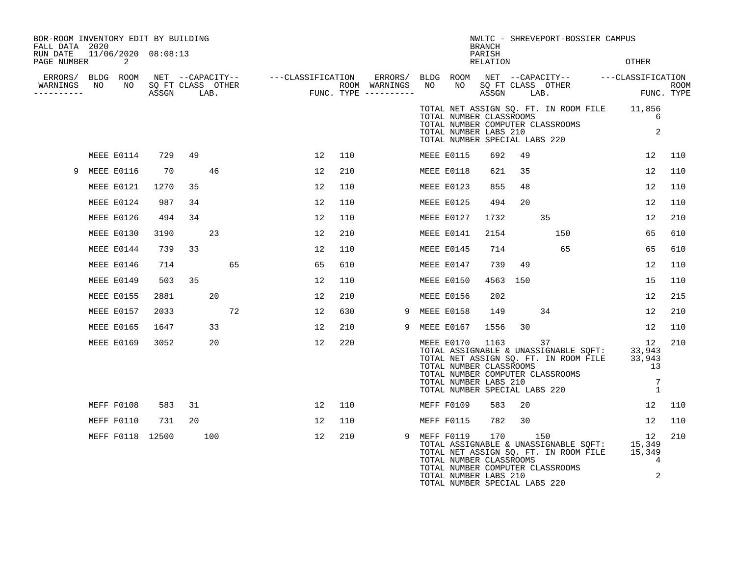| BOR-ROOM INVENTORY EDIT BY BUILDING<br>FALL DATA 2020 |  |                  |                      |    |     |    |                                                                                                                                                                                                              |     | NWLTC - SHREVEPORT-BOSSIER CAMPUS<br><b>BRANCH</b> |  |            |                                                                                   |         |                                                                                                                                                                                                    |                                                        |                           |      |
|-------------------------------------------------------|--|------------------|----------------------|----|-----|----|--------------------------------------------------------------------------------------------------------------------------------------------------------------------------------------------------------------|-----|----------------------------------------------------|--|------------|-----------------------------------------------------------------------------------|---------|----------------------------------------------------------------------------------------------------------------------------------------------------------------------------------------------------|--------------------------------------------------------|---------------------------|------|
| RUN DATE  11/06/2020  08:08:13<br>PAGE NUMBER         |  | $\overline{2}$   |                      |    |     |    |                                                                                                                                                                                                              |     |                                                    |  |            | PARISH<br>RELATION                                                                |         |                                                                                                                                                                                                    | OTHER                                                  |                           |      |
| ERRORS/ BLDG ROOM<br>WARNINGS NO<br>----------        |  |                  | NO SQ FT CLASS OTHER |    |     |    | NET --CAPACITY-- ----CLASSIFICATION ERRORS/BLDGROOM NET --CAPACITY-- ----CLASSIFICATION<br>SQFTCLASS OTHER ROOM WARNINGS NO NO SQFTCLASS OTHER ROOM<br>ASSGN LAB. FUNC.TYPE ----------- ASSGN LAB. FUNC.TYPE |     |                                                    |  |            |                                                                                   |         |                                                                                                                                                                                                    | NO SOFT CLASS OTHER<br>ASSGN LAB. FUN<br>FUNC. TYPE    |                           | ROOM |
|                                                       |  |                  |                      |    |     |    |                                                                                                                                                                                                              |     |                                                    |  |            | TOTAL NUMBER CLASSROOMS<br>TOTAL NUMBER LABS 210<br>TOTAL NUMBER SPECIAL LABS 220 |         | TOTAL NUMBER COMPUTER CLASSROOMS                                                                                                                                                                   | TOTAL NET ASSIGN SQ. FT. IN ROOM FILE 11,856           | 6<br>2                    |      |
|                                                       |  | MEEE E0114       | 729                  | 49 |     |    | 12                                                                                                                                                                                                           | 110 |                                                    |  | MEEE E0115 | 692                                                                               | 49      |                                                                                                                                                                                                    |                                                        | 12                        | 110  |
| 9                                                     |  | MEEE E0116       | 70                   |    | 46  |    | 12                                                                                                                                                                                                           | 210 |                                                    |  | MEEE E0118 | 621                                                                               | 35      |                                                                                                                                                                                                    |                                                        | 12                        | 110  |
|                                                       |  | MEEE E0121       | 1270                 | 35 |     |    | 12                                                                                                                                                                                                           | 110 |                                                    |  | MEEE E0123 | 855                                                                               | 48      |                                                                                                                                                                                                    |                                                        | 12                        | 110  |
|                                                       |  | MEEE E0124       | 987                  | 34 |     |    | 12                                                                                                                                                                                                           | 110 |                                                    |  | MEEE E0125 | 494                                                                               | 20      |                                                                                                                                                                                                    |                                                        | 12                        | 110  |
|                                                       |  | MEEE E0126       | 494                  | 34 |     |    | 12                                                                                                                                                                                                           | 110 |                                                    |  | MEEE E0127 | 1732                                                                              |         | 35                                                                                                                                                                                                 |                                                        | 12                        | 210  |
|                                                       |  | MEEE E0130       | 3190                 |    | 23  |    | 12                                                                                                                                                                                                           | 210 |                                                    |  | MEEE E0141 | 2154                                                                              |         | 150                                                                                                                                                                                                |                                                        | 65                        | 610  |
|                                                       |  | MEEE E0144       | 739                  | 33 |     |    | 12                                                                                                                                                                                                           | 110 |                                                    |  | MEEE E0145 | 714                                                                               |         | 65                                                                                                                                                                                                 |                                                        | 65                        | 610  |
|                                                       |  | MEEE E0146       | 714                  |    |     | 65 | 65                                                                                                                                                                                                           | 610 |                                                    |  | MEEE E0147 | 739                                                                               | 49      |                                                                                                                                                                                                    | 12                                                     |                           | 110  |
|                                                       |  | MEEE E0149       | 503                  | 35 |     |    | 12                                                                                                                                                                                                           | 110 |                                                    |  | MEEE E0150 | 4563                                                                              | 150     |                                                                                                                                                                                                    | 15                                                     |                           | 110  |
|                                                       |  | MEEE E0155       | 2881                 |    | 20  |    | 12                                                                                                                                                                                                           | 210 |                                                    |  | MEEE E0156 | 202                                                                               |         |                                                                                                                                                                                                    |                                                        | 12                        | 215  |
|                                                       |  | MEEE E0157       | 2033                 |    |     | 72 | 12                                                                                                                                                                                                           | 630 | 9                                                  |  | MEEE E0158 | 149                                                                               |         | 34                                                                                                                                                                                                 |                                                        | 12                        | 210  |
|                                                       |  | MEEE E0165       | 1647                 |    | 33  |    | 12                                                                                                                                                                                                           | 210 | 9                                                  |  | MEEE E0167 | 1556                                                                              | 30      |                                                                                                                                                                                                    |                                                        | 12                        | 110  |
|                                                       |  | MEEE E0169       | 3052                 |    | 20  |    | 12                                                                                                                                                                                                           | 220 |                                                    |  | MEEE E0170 | 1163<br>TOTAL NUMBER CLASSROOMS<br>TOTAL NUMBER LABS 210                          |         | 37<br>TOTAL ASSIGNABLE & UNASSIGNABLE SOFT:<br>TOTAL ASSIGNABLE & UNASSIGNABLE SOFT:<br>TOTAL NET ASSIGN SQ. FT. IN ROOM FILE<br>TOTAL NUMBER COMPUTER CLASSROOMS<br>TOTAL NUMBER SPECIAL LABS 220 | 33,943<br>33,943<br>13                                 | 12<br>7<br>$\overline{1}$ | 210  |
|                                                       |  | MEFF F0108       | 583                  | 31 |     |    | 12                                                                                                                                                                                                           | 110 |                                                    |  | MEFF F0109 | 583                                                                               | 20      |                                                                                                                                                                                                    |                                                        | 12                        | 110  |
|                                                       |  | MEFF F0110       | 731                  | 20 |     |    | 12                                                                                                                                                                                                           | 110 |                                                    |  | MEFF F0115 | 782                                                                               | 30      |                                                                                                                                                                                                    | 12                                                     |                           | 110  |
|                                                       |  | MEFF F0118 12500 |                      |    | 100 |    | 12                                                                                                                                                                                                           | 210 | 9                                                  |  | MEFF F0119 | TOTAL NUMBER CLASSROOMS<br>TOTAL NUMBER LABS 210<br>TOTAL NUMBER SPECIAL LABS 220 | 170 150 | TOTAL NET ASSIGN SQ. FT. IN ROOM FILE<br>TOTAL NUMBER COMPUTER CLASSROOMS                                                                                                                          | TOTAL ASSIGNABLE & UNASSIGNABLE SQFT: 15,349<br>15,349 | 12<br>4<br>2              | 210  |